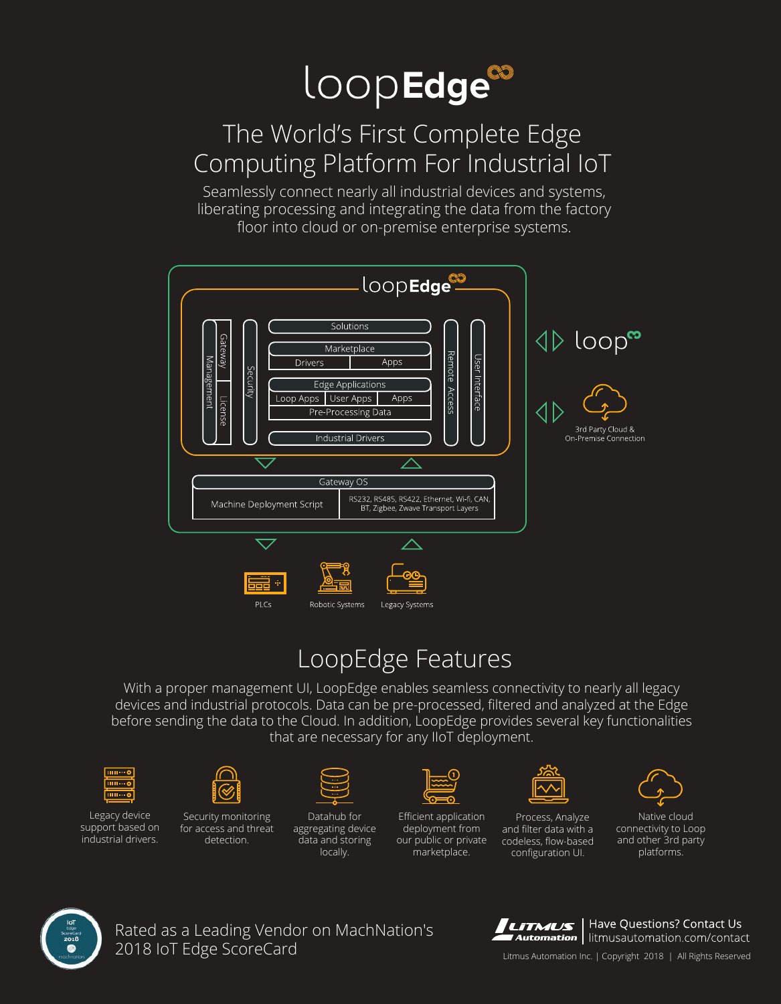

## The World's First Complete Edge Computing Platform For Industrial IoT

Seamlessly connect nearly all industrial devices and systems, liberating processing and integrating the data from the factory floor into cloud or on-premise enterprise systems.



## LoopEdge Features

With a proper management UI, LoopEdge enables seamless connectivity to nearly all legacy devices and industrial protocols. Data can be pre-processed, filtered and analyzed at the Edge before sending the data to the Cloud. In addition, LoopEdge provides several key functionalities that are necessary for any IIoT deployment.



Legacy device support based on industrial drivers.



Security monitoring for access and threat detection.



Datahub for aggregating device data and storing locally.



Efficient application deployment from our public or private marketplace.



Process, Analyze and filter data with a codeless, flow-based configuration UI.



Native cloud connectivity to Loop and other 3rd party platforms.



Rated as a Leading Vendor on MachNation's 2018 IoT Edge ScoreCard



Have Questions? Contact Us Automation | litmusautomation.com/contact